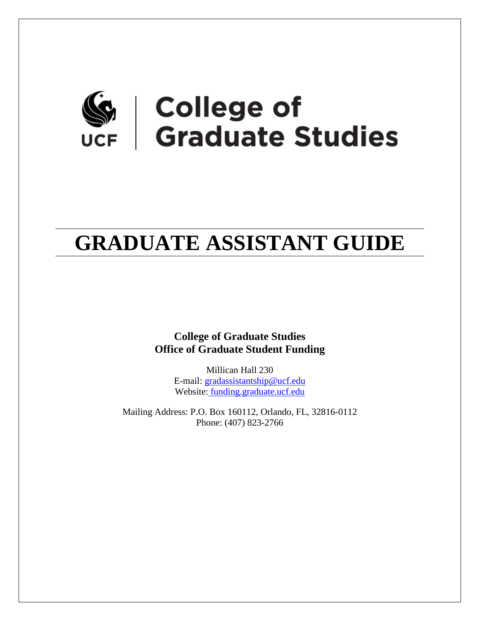# Ge | College of<br>UCF | Graduate Studies

# **GRADUATE ASSISTANT GUIDE**

**College of Graduate Studies Office of Graduate Student Funding**

> Millican Hall 230 E-mail: [gradassistantship@ucf.edu](mailto:gradassistantship@ucf.edu) Website: [funding.graduate.ucf.edu](https://funding.graduate.ucf.edu/)

Mailing Address: P.O. Box 160112, Orlando, FL, 32816-0112 Phone: (407) 823-2766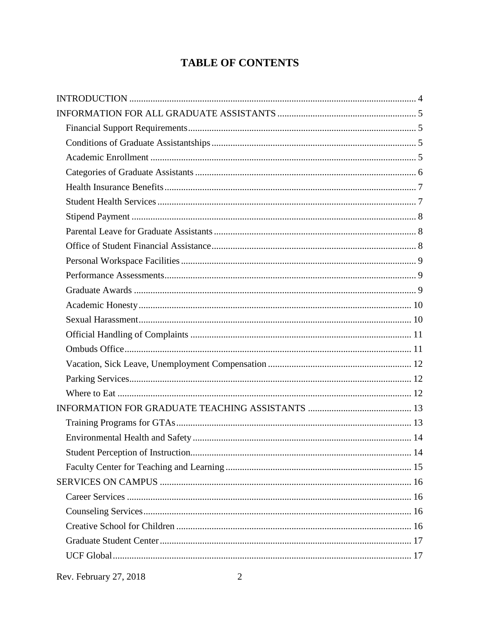# **TABLE OF CONTENTS**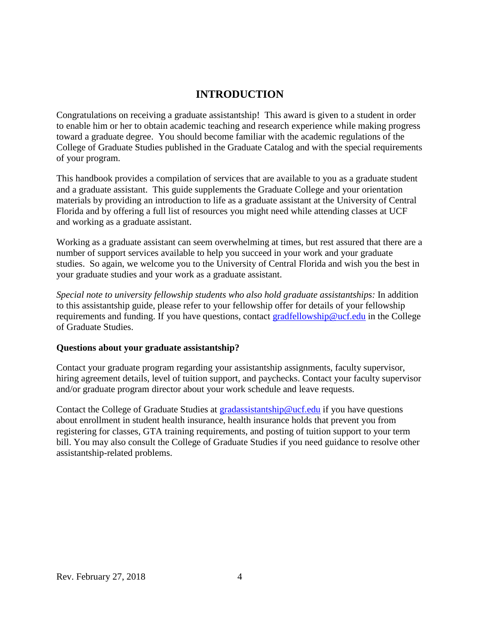## **INTRODUCTION**

<span id="page-3-0"></span>Congratulations on receiving a graduate assistantship! This award is given to a student in order to enable him or her to obtain academic teaching and research experience while making progress toward a graduate degree. You should become familiar with the academic regulations of the College of Graduate Studies published in the Graduate Catalog and with the special requirements of your program.

This handbook provides a compilation of services that are available to you as a graduate student and a graduate assistant. This guide supplements the Graduate College and your orientation materials by providing an introduction to life as a graduate assistant at the University of Central Florida and by offering a full list of resources you might need while attending classes at UCF and working as a graduate assistant.

Working as a graduate assistant can seem overwhelming at times, but rest assured that there are a number of support services available to help you succeed in your work and your graduate studies. So again, we welcome you to the University of Central Florida and wish you the best in your graduate studies and your work as a graduate assistant.

*Special note to university fellowship students who also hold graduate assistantships:* In addition to this assistantship guide, please refer to your fellowship offer for details of your fellowship requirements and funding. If you have questions, contact [gradfellowship@ucf.edu](mailto:gradfellowship@ucf.edu) in the College of Graduate Studies.

#### **Questions about your graduate assistantship?**

Contact your graduate program regarding your assistantship assignments, faculty supervisor, hiring agreement details, level of tuition support, and paychecks. Contact your faculty supervisor and/or graduate program director about your work schedule and leave requests.

Contact the College of Graduate Studies at [gradassistantship@ucf.edu](mailto:gradassistantship@ucf.edu) if you have questions about enrollment in student health insurance, health insurance holds that prevent you from registering for classes, GTA training requirements, and posting of tuition support to your term bill. You may also consult the College of Graduate Studies if you need guidance to resolve other assistantship-related problems.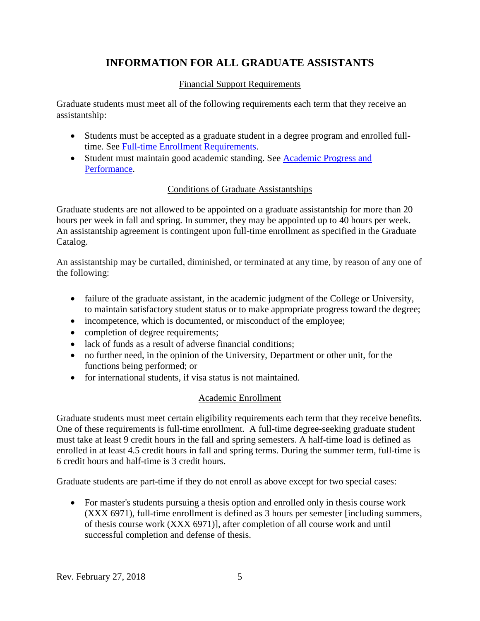# **INFORMATION FOR ALL GRADUATE ASSISTANTS**

#### Financial Support Requirements

<span id="page-4-1"></span><span id="page-4-0"></span>Graduate students must meet all of the following requirements each term that they receive an assistantship:

- Students must be accepted as a graduate student in a degree program and enrolled fulltime. See **Full-time Enrollment Requirements.**
- Student must maintain good academic standing. See Academic Progress and [Performance.](http://www.graduatecatalog.ucf.edu/content/policies.aspx?id=5700#Academic_Progress_and_Performance)

#### Conditions of Graduate Assistantships

<span id="page-4-2"></span>Graduate students are not allowed to be appointed on a graduate assistantship for more than 20 hours per week in fall and spring. In summer, they may be appointed up to 40 hours per week. An assistantship agreement is contingent upon full-time enrollment as specified in the Graduate Catalog.

An assistantship may be curtailed, diminished, or terminated at any time, by reason of any one of the following:

- failure of the graduate assistant, in the academic judgment of the College or University, to maintain satisfactory student status or to make appropriate progress toward the degree;
- incompetence, which is documented, or misconduct of the employee:
- completion of degree requirements;
- lack of funds as a result of adverse financial conditions;
- no further need, in the opinion of the University, Department or other unit, for the functions being performed; or
- for international students, if visa status is not maintained.

#### Academic Enrollment

<span id="page-4-3"></span>Graduate students must meet certain eligibility requirements each term that they receive benefits. One of these requirements is full-time enrollment. A full-time degree-seeking graduate student must take at least 9 credit hours in the fall and spring semesters. A half-time load is defined as enrolled in at least 4.5 credit hours in fall and spring terms. During the summer term, full-time is 6 credit hours and half-time is 3 credit hours.

Graduate students are part-time if they do not enroll as above except for two special cases:

• For master's students pursuing a thesis option and enrolled only in thesis course work (XXX 6971), full-time enrollment is defined as 3 hours per semester [including summers, of thesis course work (XXX 6971)], after completion of all course work and until successful completion and defense of thesis.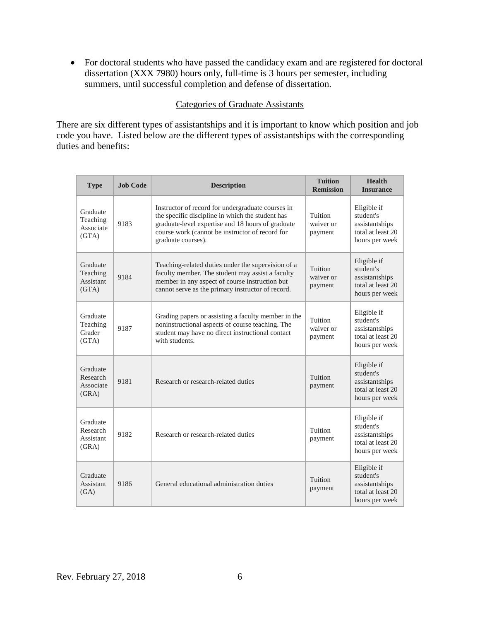• For doctoral students who have passed the candidacy exam and are registered for doctoral dissertation (XXX 7980) hours only, full-time is 3 hours per semester, including summers, until successful completion and defense of dissertation.

#### Categories of Graduate Assistants

<span id="page-5-0"></span>There are six different types of assistantships and it is important to know which position and job code you have. Listed below are the different types of assistantships with the corresponding duties and benefits:

| <b>Type</b>                                       | <b>Job Code</b> | <b>Description</b>                                                                                                                                                                                                                  | <b>Tuition</b><br><b>Remission</b> | <b>Health</b><br><b>Insurance</b>                                                 |
|---------------------------------------------------|-----------------|-------------------------------------------------------------------------------------------------------------------------------------------------------------------------------------------------------------------------------------|------------------------------------|-----------------------------------------------------------------------------------|
| Graduate<br>Teaching<br>Associate<br>(GTA)        | 9183            | Instructor of record for undergraduate courses in<br>the specific discipline in which the student has<br>graduate-level expertise and 18 hours of graduate<br>course work (cannot be instructor of record for<br>graduate courses). | Tuition<br>waiver or<br>payment    | Eligible if<br>student's<br>assistantships<br>total at least 20<br>hours per week |
| Graduate<br>Teaching<br><b>Assistant</b><br>(GTA) | 9184            | Teaching-related duties under the supervision of a<br>faculty member. The student may assist a faculty<br>member in any aspect of course instruction but<br>cannot serve as the primary instructor of record.                       | Tuition<br>waiver or<br>payment    | Eligible if<br>student's<br>assistantships<br>total at least 20<br>hours per week |
| Graduate<br>Teaching<br>Grader<br>(GTA)           | 9187            | Grading papers or assisting a faculty member in the<br>noninstructional aspects of course teaching. The<br>student may have no direct instructional contact<br>with students.                                                       | Tuition<br>waiver or<br>payment    | Eligible if<br>student's<br>assistantships<br>total at least 20<br>hours per week |
| Graduate<br>Research<br>Associate<br>(GRA)        | 9181            | Research or research-related duties                                                                                                                                                                                                 | Tuition<br>payment                 | Eligible if<br>student's<br>assistantships<br>total at least 20<br>hours per week |
| Graduate<br>Research<br>Assistant<br>(GRA)        | 9182            | Research or research-related duties                                                                                                                                                                                                 | Tuition<br>payment                 | Eligible if<br>student's<br>assistantships<br>total at least 20<br>hours per week |
| Graduate<br><b>Assistant</b><br>(GA)              | 9186            | General educational administration duties                                                                                                                                                                                           | Tuition<br>payment                 | Eligible if<br>student's<br>assistantships<br>total at least 20<br>hours per week |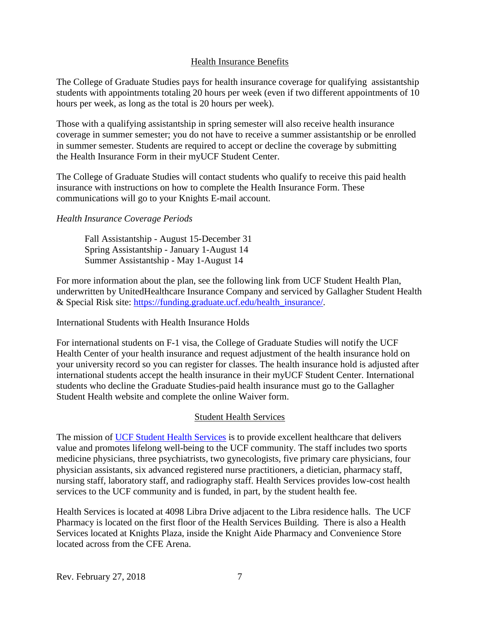#### <span id="page-6-0"></span>Health Insurance Benefits

The College of Graduate Studies pays for health insurance coverage for qualifying assistantship students with appointments totaling 20 hours per week (even if two different appointments of 10 hours per week, as long as the total is 20 hours per week).

Those with a qualifying assistantship in spring semester will also receive health insurance coverage in summer semester; you do not have to receive a summer assistantship or be enrolled in summer semester. Students are required to accept or decline the coverage by submitting the Health Insurance Form in their myUCF Student Center.

The College of Graduate Studies will contact students who qualify to receive this paid health insurance with instructions on how to complete the Health Insurance Form. These communications will go to your Knights E-mail account.

#### *Health Insurance Coverage Periods*

Fall Assistantship - August 15-December 31 Spring Assistantship - January 1-August 14 Summer Assistantship - May 1-August 14

For more information about the plan, see the following link from UCF Student Health Plan, underwritten by UnitedHealthcare Insurance Company and serviced by Gallagher Student Health & Special Risk site: [https://funding.graduate.ucf.edu/health\\_insurance/.](https://funding.graduate.ucf.edu/health_insurance/)

International Students with Health Insurance Holds

For international students on F-1 visa, the College of Graduate Studies will notify the UCF Health Center of your health insurance and request adjustment of the health insurance hold on your university record so you can register for classes. The health insurance hold is adjusted after international students accept the health insurance in their myUCF Student Center. International students who decline the Graduate Studies-paid health insurance must go to the Gallagher Student Health website and complete the online Waiver form.

#### Student Health Services

<span id="page-6-1"></span>The mission of [UCF Student Health Services](https://shs.sdes.ucf.edu/) is to provide excellent healthcare that delivers value and promotes lifelong well-being to the UCF community. The staff includes two sports medicine physicians, three psychiatrists, two gynecologists, five primary care physicians, four physician assistants, six advanced registered nurse practitioners, a dietician, pharmacy staff, nursing staff, laboratory staff, and radiography staff. Health Services provides low-cost health services to the UCF community and is funded, in part, by the student health fee.

Health Services is located at 4098 Libra Drive adjacent to the Libra residence halls. The UCF Pharmacy is located on the first floor of the Health Services Building. There is also a Health Services located at Knights Plaza, inside the Knight Aide Pharmacy and Convenience Store located across from the CFE Arena.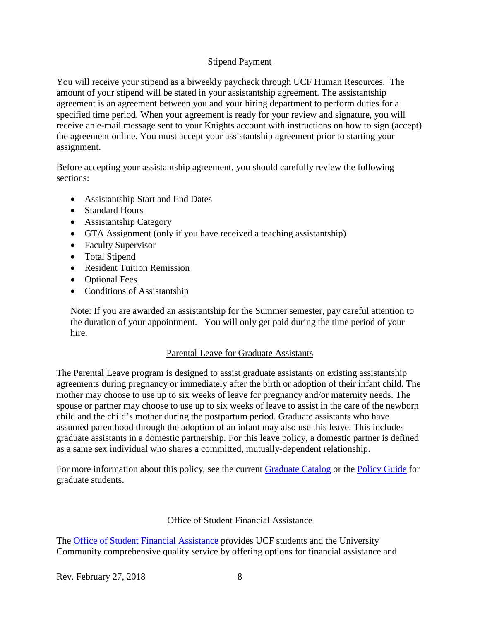#### Stipend Payment

<span id="page-7-0"></span>You will receive your stipend as a biweekly paycheck through UCF Human Resources. The amount of your stipend will be stated in your assistantship agreement. The assistantship agreement is an agreement between you and your hiring department to perform duties for a specified time period. When your agreement is ready for your review and signature, you will receive an e-mail message sent to your Knights account with instructions on how to sign (accept) the agreement online. You must accept your assistantship agreement prior to starting your assignment.

Before accepting your assistantship agreement, you should carefully review the following sections:

- Assistantship Start and End Dates
- Standard Hours
- Assistantship Category
- GTA Assignment (only if you have received a teaching assistantship)
- Faculty Supervisor
- Total Stipend
- Resident Tuition Remission
- Optional Fees
- Conditions of Assistantship

Note: If you are awarded an assistantship for the Summer semester, pay careful attention to the duration of your appointment. You will only get paid during the time period of your hire.

#### Parental Leave for Graduate Assistants

<span id="page-7-1"></span>The Parental Leave program is designed to assist graduate assistants on existing assistantship agreements during pregnancy or immediately after the birth or adoption of their infant child. The mother may choose to use up to six weeks of leave for pregnancy and/or maternity needs. The spouse or partner may choose to use up to six weeks of leave to assist in the care of the newborn child and the child's mother during the postpartum period. Graduate assistants who have assumed parenthood through the adoption of an infant may also use this leave. This includes graduate assistants in a domestic partnership. For this leave policy, a domestic partner is defined as a same sex individual who shares a committed, mutually-dependent relationship.

For more information about this policy, see the current [Graduate Catalog](http://www.graduatecatalog.ucf.edu/content/FinancialInfo.aspx?id=6096#Parental_Leave_for_Graduate_Assistants) or the [Policy Guide](http://www.students.graduate.ucf.edu/policy/details.aspx?id=2173) for graduate students.

#### Office of Student Financial Assistance

<span id="page-7-2"></span>The [Office of Student Financial Assistance](http://finaid.ucf.edu/) provides UCF students and the University Community comprehensive quality service by offering options for financial assistance and

Rev. February 27, 2018 8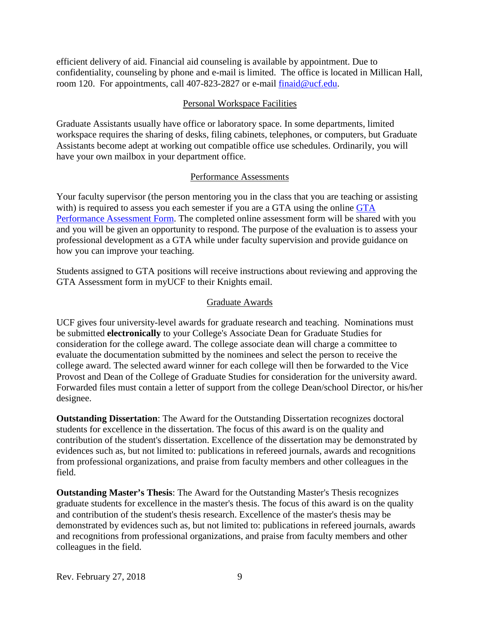efficient delivery of aid. Financial aid counseling is available by appointment. Due to confidentiality, counseling by phone and e-mail is limited. The office is located in Millican Hall, room 120. For appointments, call 407-823-2827 or e-mail finaid@ucf.edu.

#### Personal Workspace Facilities

<span id="page-8-0"></span>Graduate Assistants usually have office or laboratory space. In some departments, limited workspace requires the sharing of desks, filing cabinets, telephones, or computers, but Graduate Assistants become adept at working out compatible office use schedules. Ordinarily, you will have your own mailbox in your department office.

#### Performance Assessments

<span id="page-8-1"></span>Your faculty supervisor (the person mentoring you in the class that you are teaching or assisting with) is required to assess you each semester if you are a [GTA](hhttps://funding.graduate.ucf.edu/GTA_Performance_and_Assessments/) using the online GTA [Performance Assessment Form.](hhttps://funding.graduate.ucf.edu/GTA_Performance_and_Assessments/) The completed online assessment form will be shared with you and you will be given an opportunity to respond. The purpose of the evaluation is to assess your professional development as a GTA while under faculty supervision and provide guidance on how you can improve your teaching.

Students assigned to GTA positions will receive instructions about reviewing and approving the GTA Assessment form in myUCF to their Knights email.

#### Graduate Awards

<span id="page-8-2"></span>UCF gives four university-level awards for graduate research and teaching. Nominations must be submitted **electronically** to your College's Associate Dean for Graduate Studies for consideration for the college award. The college associate dean will charge a committee to evaluate the documentation submitted by the nominees and select the person to receive the college award. The selected award winner for each college will then be forwarded to the Vice Provost and Dean of the College of Graduate Studies for consideration for the university award. Forwarded files must contain a letter of support from the college Dean/school Director, or his/her designee.

**Outstanding Dissertation**: The Award for the Outstanding Dissertation recognizes doctoral students for excellence in the dissertation. The focus of this award is on the quality and contribution of the student's dissertation. Excellence of the dissertation may be demonstrated by evidences such as, but not limited to: publications in refereed journals, awards and recognitions from professional organizations, and praise from faculty members and other colleagues in the field.

**Outstanding Master's Thesis**: The Award for the Outstanding Master's Thesis recognizes graduate students for excellence in the master's thesis. The focus of this award is on the quality and contribution of the student's thesis research. Excellence of the master's thesis may be demonstrated by evidences such as, but not limited to: publications in refereed journals, awards and recognitions from professional organizations, and praise from faculty members and other colleagues in the field.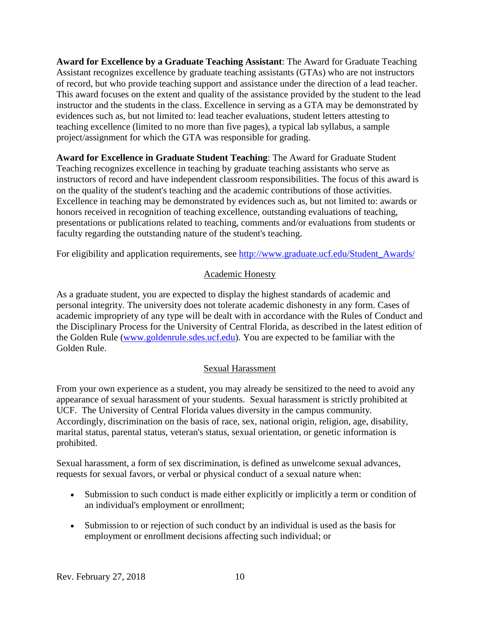**Award for Excellence by a Graduate Teaching Assistant**: The Award for Graduate Teaching Assistant recognizes excellence by graduate teaching assistants (GTAs) who are not instructors of record, but who provide teaching support and assistance under the direction of a lead teacher. This award focuses on the extent and quality of the assistance provided by the student to the lead instructor and the students in the class. Excellence in serving as a GTA may be demonstrated by evidences such as, but not limited to: lead teacher evaluations, student letters attesting to teaching excellence (limited to no more than five pages), a typical lab syllabus, a sample project/assignment for which the GTA was responsible for grading.

**Award for Excellence in Graduate Student Teaching**: The Award for Graduate Student Teaching recognizes excellence in teaching by graduate teaching assistants who serve as instructors of record and have independent classroom responsibilities. The focus of this award is on the quality of the student's teaching and the academic contributions of those activities. Excellence in teaching may be demonstrated by evidences such as, but not limited to: awards or honors received in recognition of teaching excellence, outstanding evaluations of teaching, presentations or publications related to teaching, comments and/or evaluations from students or faculty regarding the outstanding nature of the student's teaching.

<span id="page-9-0"></span>For eligibility and application requirements, see [http://www.graduate.ucf.edu/Student\\_Awards/](http://www.graduate.ucf.edu/Student_Awards/)

#### Academic Honesty

As a graduate student, you are expected to display the highest standards of academic and personal integrity. The university does not tolerate academic dishonesty in any form. Cases of academic impropriety of any type will be dealt with in accordance with the Rules of Conduct and the Disciplinary Process for the University of Central Florida, as described in the latest edition of the Golden Rule [\(www.goldenrule.sdes.ucf.edu\)](http://www.goldenrule.sdes.ucf.edu/). You are expected to be familiar with the Golden Rule.

#### Sexual Harassment

<span id="page-9-1"></span>From your own experience as a student, you may already be sensitized to the need to avoid any appearance of sexual harassment of your students. Sexual harassment is strictly prohibited at UCF. The University of Central Florida values diversity in the campus community. Accordingly, discrimination on the basis of race, sex, national origin, religion, age, disability, marital status, parental status, veteran's status, sexual orientation, or genetic information is prohibited.

Sexual harassment, a form of sex discrimination, is defined as unwelcome sexual advances, requests for sexual favors, or verbal or physical conduct of a sexual nature when:

- Submission to such conduct is made either explicitly or implicitly a term or condition of an individual's employment or enrollment;
- Submission to or rejection of such conduct by an individual is used as the basis for employment or enrollment decisions affecting such individual; or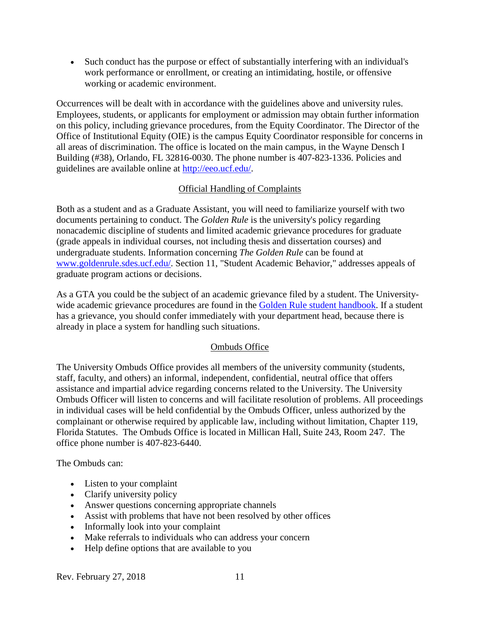• Such conduct has the purpose or effect of substantially interfering with an individual's work performance or enrollment, or creating an intimidating, hostile, or offensive working or academic environment.

Occurrences will be dealt with in accordance with the guidelines above and university rules. Employees, students, or applicants for employment or admission may obtain further information on this policy, including grievance procedures, from the Equity Coordinator. The Director of the Office of Institutional Equity (OIE) is the campus Equity Coordinator responsible for concerns in all areas of discrimination. The office is located on the main campus, in the Wayne Densch I Building (#38), Orlando, FL 32816-0030. The phone number is 407-823-1336. Policies and guidelines are available online at [http://eeo.ucf.edu/.](http://eeo.ucf.edu/)

#### Official Handling of Complaints

<span id="page-10-0"></span>Both as a student and as a Graduate Assistant, you will need to familiarize yourself with two documents pertaining to conduct. The *Golden Rule* is the university's policy regarding nonacademic discipline of students and limited academic grievance procedures for graduate (grade appeals in individual courses, not including thesis and dissertation courses) and undergraduate students. Information concerning *The Golden Rule* can be found at [www.goldenrule.sdes.ucf.edu/.](http://www.goldenrule.sdes.ucf.edu/) Section 11, "Student Academic Behavior," addresses appeals of graduate program actions or decisions.

As a GTA you could be the subject of an academic grievance filed by a student. The University-wide academic grievance procedures are found in the [Golden Rule student handbook.](http://goldenrule.sdes.ucf.edu/docs/goldenrule.pdf) If a student has a grievance, you should confer immediately with your department head, because there is already in place a system for handling such situations.

#### Ombuds Office

<span id="page-10-1"></span>The University Ombuds Office provides all members of the university community (students, staff, faculty, and others) an informal, independent, confidential, neutral office that offers assistance and impartial advice regarding concerns related to the University. The University Ombuds Officer will listen to concerns and will facilitate resolution of problems. All proceedings in individual cases will be held confidential by the Ombuds Officer, unless authorized by the complainant or otherwise required by applicable law, including without limitation, Chapter 119, Florida Statutes. The Ombuds Office is located in Millican Hall, Suite 243, Room 247. The office phone number is 407-823-6440.

The Ombuds can:

- Listen to your complaint
- Clarify university policy
- Answer questions concerning appropriate channels
- Assist with problems that have not been resolved by other offices
- Informally look into your complaint
- Make referrals to individuals who can address your concern
- Help define options that are available to you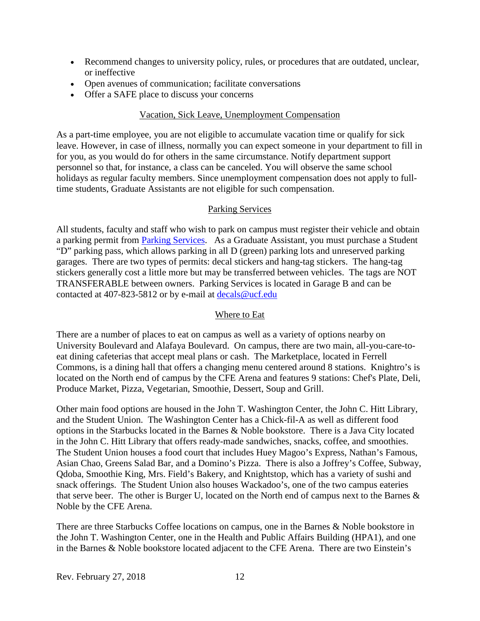- Recommend changes to university policy, rules, or procedures that are outdated, unclear, or ineffective
- Open avenues of communication; facilitate conversations
- <span id="page-11-0"></span>• Offer a SAFE place to discuss your concerns

#### Vacation, Sick Leave, Unemployment Compensation

As a part-time employee, you are not eligible to accumulate vacation time or qualify for sick leave. However, in case of illness, normally you can expect someone in your department to fill in for you, as you would do for others in the same circumstance. Notify department support personnel so that, for instance, a class can be canceled. You will observe the same school holidays as regular faculty members. Since unemployment compensation does not apply to fulltime students, Graduate Assistants are not eligible for such compensation.

#### Parking Services

<span id="page-11-1"></span>All students, faculty and staff who wish to park on campus must register their vehicle and obtain a parking permit from [Parking Services.](http://parking.ucf.edu/) As a Graduate Assistant, you must purchase a Student "D" parking pass, which allows parking in all D (green) parking lots and unreserved parking garages. There are two types of permits: decal stickers and hang-tag stickers. The hang-tag stickers generally cost a little more but may be transferred between vehicles. The tags are NOT TRANSFERABLE between owners. Parking Services is located in Garage B and can be contacted at 407-823-5812 or by e-mail at [decals@ucf.edu](mailto:decals@ucf.edu)

#### Where to Eat

<span id="page-11-2"></span>There are a number of places to eat on campus as well as a variety of options nearby on University Boulevard and Alafaya Boulevard. On campus, there are two main, all-you-care-toeat dining cafeterias that accept meal plans or cash. The Marketplace, located in Ferrell Commons, is a dining hall that offers a changing menu centered around 8 stations. Knightro's is located on the North end of campus by the CFE Arena and features 9 stations: Chef's Plate, Deli, Produce Market, Pizza, Vegetarian, Smoothie, Dessert, Soup and Grill.

Other main food options are housed in the John T. Washington Center, the John C. Hitt Library, and the Student Union. The Washington Center has a Chick-fil-A as well as different food options in the Starbucks located in the Barnes & Noble bookstore. There is a Java City located in the John C. Hitt Library that offers ready-made sandwiches, snacks, coffee, and smoothies. The Student Union houses a food court that includes Huey Magoo's Express, Nathan's Famous, Asian Chao, Greens Salad Bar, and a Domino's Pizza. There is also a Joffrey's Coffee, Subway, Qdoba, Smoothie King, Mrs. Field's Bakery, and Knightstop, which has a variety of sushi and snack offerings. The Student Union also houses Wackadoo's, one of the two campus eateries that serve beer. The other is Burger U, located on the North end of campus next to the Barnes & Noble by the CFE Arena.

There are three Starbucks Coffee locations on campus, one in the Barnes & Noble bookstore in the John T. Washington Center, one in the Health and Public Affairs Building (HPA1), and one in the Barnes & Noble bookstore located adjacent to the CFE Arena. There are two Einstein's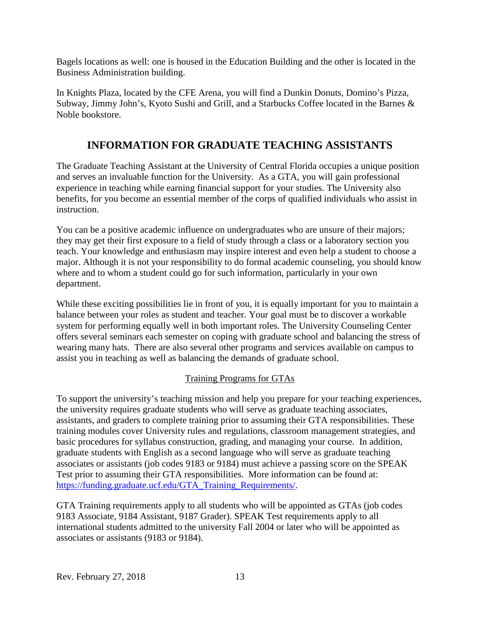Bagels locations as well: one is housed in the Education Building and the other is located in the Business Administration building.

In Knights Plaza, located by the CFE Arena, you will find a Dunkin Donuts, Domino's Pizza, Subway, Jimmy John's, Kyoto Sushi and Grill, and a Starbucks Coffee located in the Barnes & Noble bookstore.

# **INFORMATION FOR GRADUATE TEACHING ASSISTANTS**

<span id="page-12-0"></span>The Graduate Teaching Assistant at the University of Central Florida occupies a unique position and serves an invaluable function for the University. As a GTA, you will gain professional experience in teaching while earning financial support for your studies. The University also benefits, for you become an essential member of the corps of qualified individuals who assist in instruction.

You can be a positive academic influence on undergraduates who are unsure of their majors; they may get their first exposure to a field of study through a class or a laboratory section you teach. Your knowledge and enthusiasm may inspire interest and even help a student to choose a major. Although it is not your responsibility to do formal academic counseling, you should know where and to whom a student could go for such information, particularly in your own department.

While these exciting possibilities lie in front of you, it is equally important for you to maintain a balance between your roles as student and teacher. Your goal must be to discover a workable system for performing equally well in both important roles. The University Counseling Center offers several seminars each semester on coping with graduate school and balancing the stress of wearing many hats. There are also several other programs and services available on campus to assist you in teaching as well as balancing the demands of graduate school.

#### Training Programs for GTAs

<span id="page-12-1"></span>To support the university's teaching mission and help you prepare for your teaching experiences, the university requires graduate students who will serve as graduate teaching associates, assistants, and graders to complete training prior to assuming their GTA responsibilities. These training modules cover University rules and regulations, classroom management strategies, and basic procedures for syllabus construction, grading, and managing your course. In addition, graduate students with English as a second language who will serve as graduate teaching associates or assistants (job codes 9183 or 9184) must achieve a passing score on the SPEAK Test prior to assuming their GTA responsibilities. More information can be found at: [https://funding.graduate.ucf.edu/GTA\\_Training\\_Requirements/.](https://funding.graduate.ucf.edu/GTA_Training_Requirements/)

GTA Training requirements apply to all students who will be appointed as GTAs (job codes 9183 Associate, 9184 Assistant, 9187 Grader). SPEAK Test requirements apply to all international students admitted to the university Fall 2004 or later who will be appointed as associates or assistants (9183 or 9184).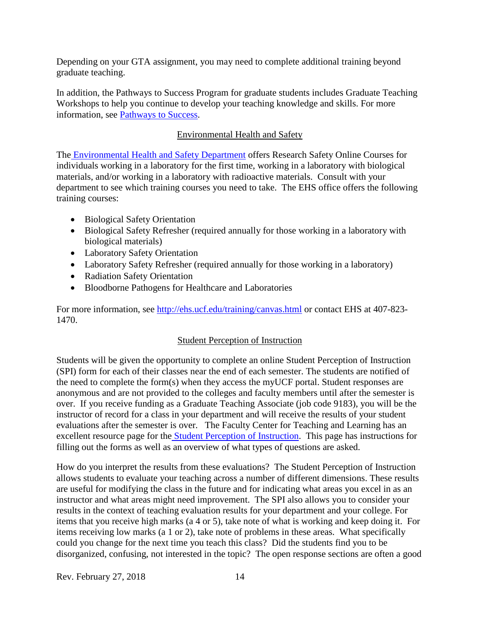Depending on your GTA assignment, you may need to complete additional training beyond graduate teaching.

In addition, the Pathways to Success Program for graduate students includes Graduate Teaching Workshops to help you continue to develop your teaching knowledge and skills. For more information, see [Pathways to Success.](http://www.students.graduate.ucf.edu/pathways/)

#### Environmental Health and Safety

<span id="page-13-0"></span>The [Environmental Health and Safety Department](http://ehs.ucf.edu/home.html) offers Research Safety Online Courses for individuals working in a laboratory for the first time, working in a laboratory with biological materials, and/or working in a laboratory with radioactive materials. Consult with your department to see which training courses you need to take. The EHS office offers the following training courses:

- Biological Safety Orientation
- Biological Safety Refresher (required annually for those working in a laboratory with biological materials)
- Laboratory Safety Orientation
- Laboratory Safety Refresher (required annually for those working in a laboratory)
- Radiation Safety Orientation
- Bloodborne Pathogens for Healthcare and Laboratories

<span id="page-13-1"></span>For more information, see<http://ehs.ucf.edu/training/canvas.html> or contact EHS at 407-823-1470.

#### Student Perception of Instruction

Students will be given the opportunity to complete an online Student Perception of Instruction (SPI) form for each of their classes near the end of each semester. The students are notified of the need to complete the form(s) when they access the myUCF portal. Student responses are anonymous and are not provided to the colleges and faculty members until after the semester is over. If you receive funding as a Graduate Teaching Associate (job code 9183), you will be the instructor of record for a class in your department and will receive the results of your student evaluations after the semester is over. The Faculty Center for Teaching and Learning has an excellent resource page for the [Student Perception of Instruction.](http://www.fctl.ucf.edu/FacultySuccess/SemesterEssentials/studentperceptions.php) This page has instructions for filling out the forms as well as an overview of what types of questions are asked.

How do you interpret the results from these evaluations? The Student Perception of Instruction allows students to evaluate your teaching across a number of different dimensions. These results are useful for modifying the class in the future and for indicating what areas you excel in as an instructor and what areas might need improvement. The SPI also allows you to consider your results in the context of teaching evaluation results for your department and your college. For items that you receive high marks (a 4 or 5), take note of what is working and keep doing it. For items receiving low marks (a 1 or 2), take note of problems in these areas. What specifically could you change for the next time you teach this class? Did the students find you to be disorganized, confusing, not interested in the topic? The open response sections are often a good

Rev. February 27, 2018 14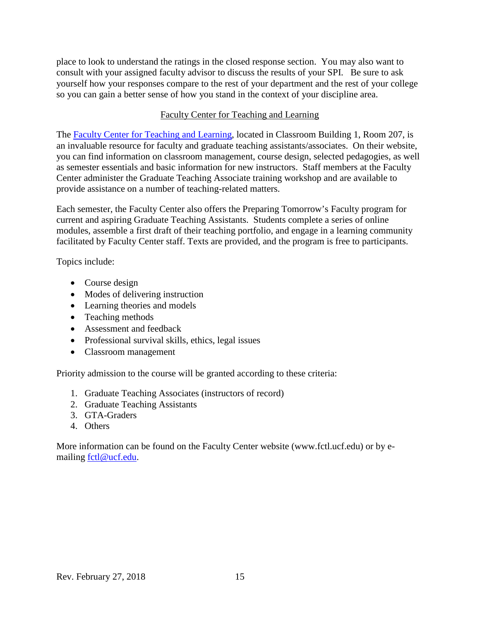place to look to understand the ratings in the closed response section. You may also want to consult with your assigned faculty advisor to discuss the results of your SPI. Be sure to ask yourself how your responses compare to the rest of your department and the rest of your college so you can gain a better sense of how you stand in the context of your discipline area.

#### Faculty Center for Teaching and Learning

<span id="page-14-0"></span>The [Faculty Center for Teaching and Learning,](http://www.fctl.ucf.edu/) located in Classroom Building 1, Room 207, is an invaluable resource for faculty and graduate teaching assistants/associates. On their website, you can find information on classroom management, course design, selected pedagogies, as well as semester essentials and basic information for new instructors. Staff members at the Faculty Center administer the Graduate Teaching Associate training workshop and are available to provide assistance on a number of teaching-related matters.

Each semester, the Faculty Center also offers the Preparing Tomorrow's Faculty program for current and aspiring Graduate Teaching Assistants. Students complete a series of online modules, assemble a first draft of their teaching portfolio, and engage in a learning community facilitated by Faculty Center staff. Texts are provided, and the program is free to participants.

Topics include:

- Course design
- Modes of delivering instruction
- Learning theories and models
- Teaching methods
- Assessment and feedback
- Professional survival skills, ethics, legal issues
- Classroom management

Priority admission to the course will be granted according to these criteria:

- 1. Graduate Teaching Associates (instructors of record)
- 2. Graduate Teaching Assistants
- 3. GTA-Graders
- 4. Others

More information can be found on the Faculty Center website (www.fctl.ucf.edu) or by emailing [fctl@ucf.edu.](mailto:fctl@ucf.edu)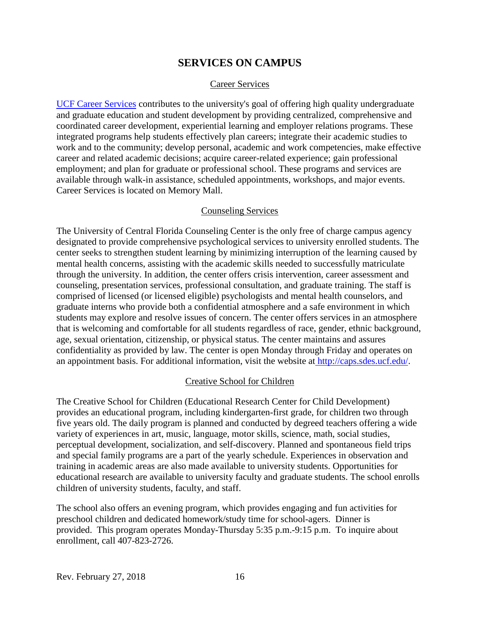### **SERVICES ON CAMPUS**

#### Career Services

<span id="page-15-1"></span><span id="page-15-0"></span>[UCF Career Services](http://www.career.ucf.edu/) contributes to the university's goal of offering high quality undergraduate and graduate education and student development by providing centralized, comprehensive and coordinated career development, experiential learning and employer relations programs. These integrated programs help students effectively plan careers; integrate their academic studies to work and to the community; develop personal, academic and work competencies, make effective career and related academic decisions; acquire career-related experience; gain professional employment; and plan for graduate or professional school. These programs and services are available through walk-in assistance, scheduled appointments, workshops, and major events. Career Services is located on Memory Mall.

#### Counseling Services

<span id="page-15-2"></span>The University of Central Florida Counseling Center is the only free of charge campus agency designated to provide comprehensive psychological services to university enrolled students. The center seeks to strengthen student learning by minimizing interruption of the learning caused by mental health concerns, assisting with the academic skills needed to successfully matriculate through the university. In addition, the center offers crisis intervention, career assessment and counseling, presentation services, professional consultation, and graduate training. The staff is comprised of licensed (or licensed eligible) psychologists and mental health counselors, and graduate interns who provide both a confidential atmosphere and a safe environment in which students may explore and resolve issues of concern. The center offers services in an atmosphere that is welcoming and comfortable for all students regardless of race, gender, ethnic background, age, sexual orientation, citizenship, or physical status. The center maintains and assures confidentiality as provided by law. The center is open Monday through Friday and operates on an appointment basis. For additional information, visit the website at [http://caps.sdes.ucf.edu/.](http://caps.sdes.ucf.edu/)

#### Creative School for Children

<span id="page-15-3"></span>The Creative School for Children (Educational Research Center for Child Development) provides an educational program, including kindergarten-first grade, for children two through five years old. The daily program is planned and conducted by degreed teachers offering a wide variety of experiences in art, music, language, motor skills, science, math, social studies, perceptual development, socialization, and self-discovery. Planned and spontaneous field trips and special family programs are a part of the yearly schedule. Experiences in observation and training in academic areas are also made available to university students. Opportunities for educational research are available to university faculty and graduate students. The school enrolls children of university students, faculty, and staff.

The school also offers an evening program, which provides engaging and fun activities for preschool children and dedicated homework/study time for school-agers. Dinner is provided. This program operates Monday-Thursday 5:35 p.m.-9:15 p.m. To inquire about enrollment, call 407-823-2726.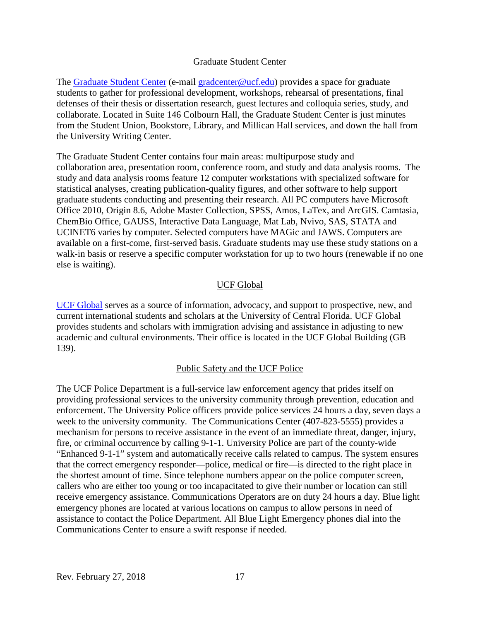#### Graduate Student Center

<span id="page-16-0"></span>The [Graduate Student Center](http://www.graduate.ucf.edu/gradcenter) (e-mail [gradcenter@ucf.edu\)](mailto:gradcenter@ucf.edu) provides a space for graduate students to gather for professional development, workshops, rehearsal of presentations, final defenses of their thesis or dissertation research, guest lectures and colloquia series, study, and collaborate. Located in Suite 146 Colbourn Hall, the Graduate Student Center is just minutes from the Student Union, Bookstore, Library, and Millican Hall services, and down the hall from the University Writing Center.

The Graduate Student Center contains four main areas: multipurpose study and collaboration area, presentation room, conference room, and study and data analysis rooms. The study and data analysis rooms feature 12 computer workstations with specialized software for statistical analyses, creating publication-quality figures, and other software to help support graduate students conducting and presenting their research. All PC computers have Microsoft Office 2010, Origin 8.6, Adobe Master Collection, SPSS, Amos, LaTex, and ArcGIS. Camtasia, ChemBio Office, GAUSS, Interactive Data Language, Mat Lab, Nvivo, SAS, STATA and UCINET6 varies by computer. Selected computers have MAGic and JAWS. Computers are available on a first-come, first-served basis. Graduate students may use these study stations on a walk-in basis or reserve a specific computer workstation for up to two hours (renewable if no one else is waiting).

#### UCF Global

<span id="page-16-1"></span>[UCF Global](http://global.ucf.edu/) serves as a source of information, advocacy, and support to prospective, new, and current international students and scholars at the University of Central Florida. UCF Global provides students and scholars with immigration advising and assistance in adjusting to new academic and cultural environments. Their office is located in the UCF Global Building (GB 139).

#### Public Safety and the UCF Police

<span id="page-16-2"></span>The UCF Police Department is a full-service law enforcement agency that prides itself on providing professional services to the university community through prevention, education and enforcement. The University Police officers provide police services 24 hours a day, seven days a week to the university community. The Communications Center (407-823-5555) provides a mechanism for persons to receive assistance in the event of an immediate threat, danger, injury, fire, or criminal occurrence by calling 9-1-1. University Police are part of the county-wide "Enhanced 9-1-1" system and automatically receive calls related to campus. The system ensures that the correct emergency responder—police, medical or fire—is directed to the right place in the shortest amount of time. Since telephone numbers appear on the police computer screen, callers who are either too young or too incapacitated to give their number or location can still receive emergency assistance. Communications Operators are on duty 24 hours a day. Blue light emergency phones are located at various locations on campus to allow persons in need of assistance to contact the Police Department. All Blue Light Emergency phones dial into the Communications Center to ensure a swift response if needed.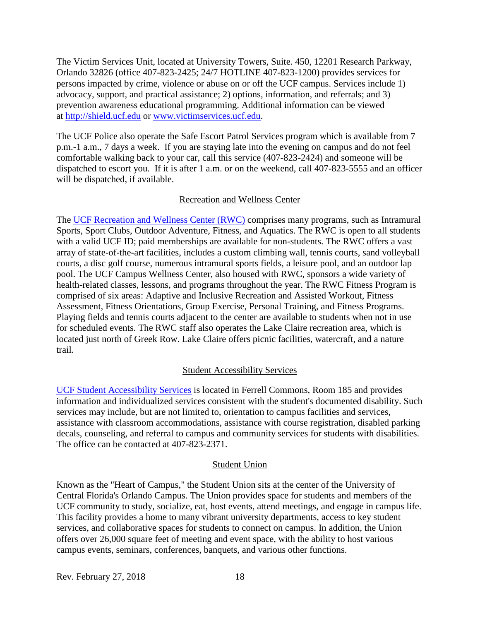The Victim Services Unit, located at University Towers, Suite. 450, 12201 Research Parkway, Orlando 32826 (office 407-823-2425; 24/7 HOTLINE 407-823-1200) provides services for persons impacted by crime, violence or abuse on or off the UCF campus. Services include 1) advocacy, support, and practical assistance; 2) options, information, and referrals; and 3) prevention awareness educational programming. Additional information can be viewed at [http://shield.ucf.edu](http://shield.ucf.edu/) or [www.victimservices.ucf.edu.](http://www.victimservices.ucf.edu/)

The UCF Police also operate the Safe Escort Patrol Services program which is available from 7 p.m.-1 a.m., 7 days a week. If you are staying late into the evening on campus and do not feel comfortable walking back to your car, call this service (407-823-2424) and someone will be dispatched to escort you. If it is after 1 a.m. or on the weekend, call 407-823-5555 and an officer will be dispatched, if available.

#### Recreation and Wellness Center

<span id="page-17-0"></span>The [UCF Recreation and Wellness Center \(RWC\)](http://rwc.sdes.ucf.edu/) comprises many programs, such as Intramural Sports, Sport Clubs, Outdoor Adventure, Fitness, and Aquatics. The RWC is open to all students with a valid UCF ID; paid memberships are available for non-students. The RWC offers a vast array of state-of-the-art facilities, includes a custom climbing wall, tennis courts, sand volleyball courts, a disc golf course, numerous intramural sports fields, a leisure pool, and an outdoor lap pool. The UCF Campus Wellness Center, also housed with RWC, sponsors a wide variety of health-related classes, lessons, and programs throughout the year. The RWC Fitness Program is comprised of six areas: Adaptive and Inclusive Recreation and Assisted Workout, Fitness Assessment, Fitness Orientations, Group Exercise, Personal Training, and Fitness Programs. Playing fields and tennis courts adjacent to the center are available to students when not in use for scheduled events. The RWC staff also operates the Lake Claire recreation area, which is located just north of Greek Row. Lake Claire offers picnic facilities, watercraft, and a nature trail.

#### Student Accessibility Services

<span id="page-17-1"></span>[UCF Student Accessibility Services](http://sas.sdes.ucf.edu/) is located in Ferrell Commons, Room 185 and provides information and individualized services consistent with the student's documented disability. Such services may include, but are not limited to, orientation to campus facilities and services, assistance with classroom accommodations, assistance with course registration, disabled parking decals, counseling, and referral to campus and community services for students with disabilities. The office can be contacted at 407-823-2371.

#### Student Union

<span id="page-17-2"></span>Known as the "Heart of Campus," the Student Union sits at the center of the University of Central Florida's Orlando Campus. The Union provides space for students and members of the UCF community to study, socialize, eat, host events, attend meetings, and engage in campus life. This facility provides a home to many vibrant university departments, access to key student services, and collaborative spaces for students to connect on campus. In addition, the Union offers over 26,000 square feet of meeting and event space, with the ability to host various campus events, seminars, conferences, banquets, and various other functions.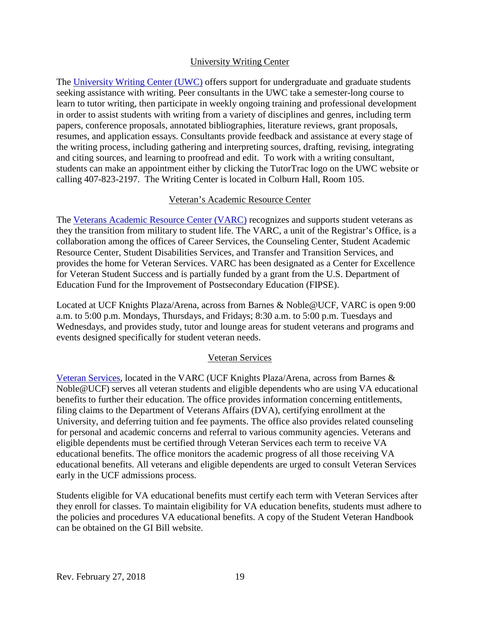#### University Writing Center

<span id="page-18-0"></span>The [University Writing Center \(UWC\)](http://uwc.ucf.edu/) offers support for undergraduate and graduate students seeking assistance with writing. Peer consultants in the UWC take a semester-long course to learn to tutor writing, then participate in weekly ongoing training and professional development in order to assist students with writing from a variety of disciplines and genres, including term papers, conference proposals, annotated bibliographies, literature reviews, grant proposals, resumes, and application essays. Consultants provide feedback and assistance at every stage of the writing process, including gathering and interpreting sources, drafting, revising, integrating and citing sources, and learning to proofread and edit. To work with a writing consultant, students can make an appointment either by clicking the TutorTrac logo on the UWC website or calling 407-823-2197. The Writing Center is located in Colburn Hall, Room 105.

#### Veteran's Academic Resource Center

<span id="page-18-1"></span>The [Veterans Academic Resource Center \(VARC\)](http://varc.sdes.ucf.edu/) recognizes and supports student veterans as they the transition from military to student life. The VARC, a unit of the Registrar's Office, is a collaboration among the offices of Career Services, the Counseling Center, Student Academic Resource Center, Student Disabilities Services, and Transfer and Transition Services, and provides the home for Veteran Services. VARC has been designated as a Center for Excellence for Veteran Student Success and is partially funded by a grant from the U.S. Department of Education Fund for the Improvement of Postsecondary Education (FIPSE).

Located at UCF Knights Plaza/Arena, across from Barnes & Noble@UCF, VARC is open 9:00 a.m. to 5:00 p.m. Mondays, Thursdays, and Fridays; 8:30 a.m. to 5:00 p.m. Tuesdays and Wednesdays, and provides study, tutor and lounge areas for student veterans and programs and events designed specifically for student veteran needs.

#### Veteran Services

<span id="page-18-2"></span>[Veteran Services,](http://www.va.ucf.edu/) located in the VARC (UCF Knights Plaza/Arena, across from Barnes & Noble@UCF) serves all veteran students and eligible dependents who are using VA educational benefits to further their education. The office provides information concerning entitlements, filing claims to the Department of Veterans Affairs (DVA), certifying enrollment at the University, and deferring tuition and fee payments. The office also provides related counseling for personal and academic concerns and referral to various community agencies. Veterans and eligible dependents must be certified through Veteran Services each term to receive VA educational benefits. The office monitors the academic progress of all those receiving VA educational benefits. All veterans and eligible dependents are urged to consult Veteran Services early in the UCF admissions process.

Students eligible for VA educational benefits must certify each term with Veteran Services after they enroll for classes. To maintain eligibility for VA education benefits, students must adhere to the policies and procedures VA educational benefits. A copy of the Student Veteran Handbook can be obtained on the GI Bill website.